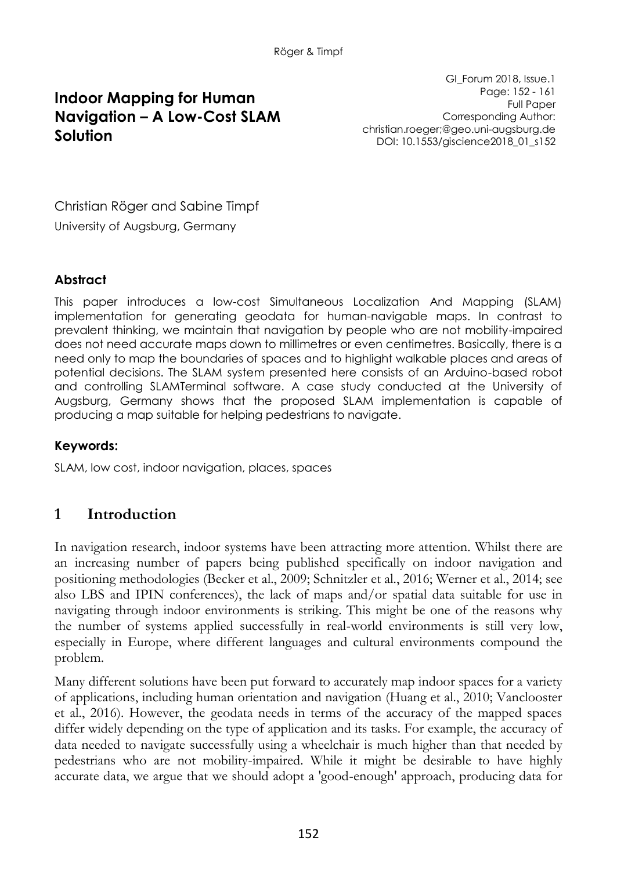# **Indoor Mapping for Human Navigation – A Low-Cost SLAM Solution**

GI\_Forum 2018, Issue.1 Page: 152 - 161 Full Paper Corresponding Author: christian.roeger;@geo.uni-augsburg.de DOI: 10.1553/giscience2018\_01\_s152

Christian Röger and Sabine Timpf University of Augsburg, Germany

#### **Abstract**

This paper introduces a low-cost Simultaneous Localization And Mapping (SLAM) implementation for generating geodata for human-navigable maps. In contrast to prevalent thinking, we maintain that navigation by people who are not mobility-impaired does not need accurate maps down to millimetres or even centimetres. Basically, there is a need only to map the boundaries of spaces and to highlight walkable places and areas of potential decisions. The SLAM system presented here consists of an Arduino-based robot and controlling SLAMTerminal software. A case study conducted at the University of Augsburg, Germany shows that the proposed SLAM implementation is capable of producing a map suitable for helping pedestrians to navigate.

#### **Keywords:**

SLAM, low cost, indoor navigation, places, spaces

# **1 Introduction**

In navigation research, indoor systems have been attracting more attention. Whilst there are an increasing number of papers being published specifically on indoor navigation and positioning methodologies (Becker et al., 2009; Schnitzler et al., 2016; Werner et al., 2014; see also LBS and IPIN conferences), the lack of maps and/or spatial data suitable for use in navigating through indoor environments is striking. This might be one of the reasons why the number of systems applied successfully in real-world environments is still very low, especially in Europe, where different languages and cultural environments compound the problem.

Many different solutions have been put forward to accurately map indoor spaces for a variety of applications, including human orientation and navigation (Huang et al., 2010; Vanclooster et al., 2016). However, the geodata needs in terms of the accuracy of the mapped spaces differ widely depending on the type of application and its tasks. For example, the accuracy of data needed to navigate successfully using a wheelchair is much higher than that needed by pedestrians who are not mobility-impaired. While it might be desirable to have highly accurate data, we argue that we should adopt a 'good-enough' approach, producing data for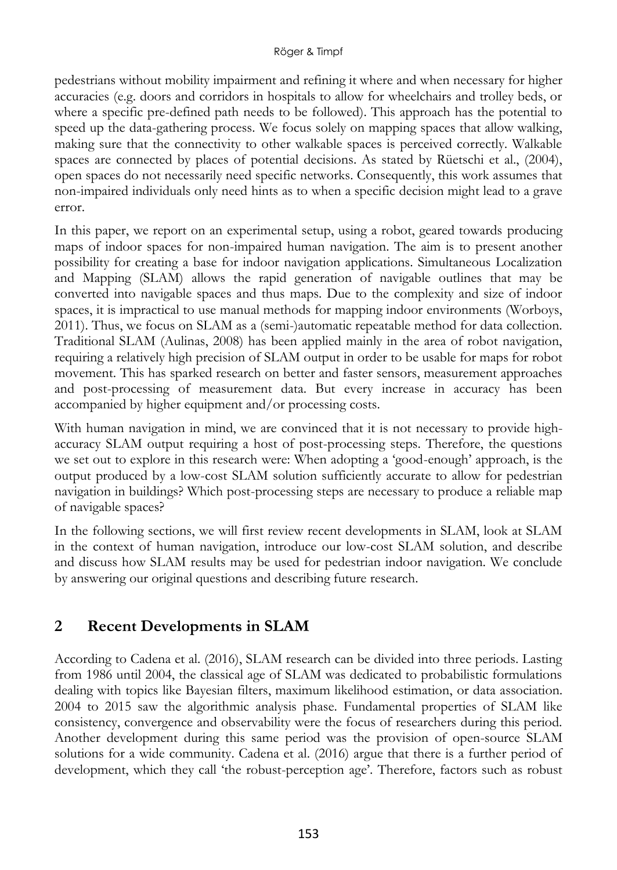pedestrians without mobility impairment and refining it where and when necessary for higher accuracies (e.g. doors and corridors in hospitals to allow for wheelchairs and trolley beds, or where a specific pre-defined path needs to be followed). This approach has the potential to speed up the data-gathering process. We focus solely on mapping spaces that allow walking, making sure that the connectivity to other walkable spaces is perceived correctly. Walkable spaces are connected by places of potential decisions. As stated by Rüetschi et al., (2004), open spaces do not necessarily need specific networks. Consequently, this work assumes that non-impaired individuals only need hints as to when a specific decision might lead to a grave error.

In this paper, we report on an experimental setup, using a robot, geared towards producing maps of indoor spaces for non-impaired human navigation. The aim is to present another possibility for creating a base for indoor navigation applications. Simultaneous Localization and Mapping (SLAM) allows the rapid generation of navigable outlines that may be converted into navigable spaces and thus maps. Due to the complexity and size of indoor spaces, it is impractical to use manual methods for mapping indoor environments (Worboys, 2011). Thus, we focus on SLAM as a (semi-)automatic repeatable method for data collection. Traditional SLAM (Aulinas, 2008) has been applied mainly in the area of robot navigation, requiring a relatively high precision of SLAM output in order to be usable for maps for robot movement. This has sparked research on better and faster sensors, measurement approaches and post-processing of measurement data. But every increase in accuracy has been accompanied by higher equipment and/or processing costs.

With human navigation in mind, we are convinced that it is not necessary to provide highaccuracy SLAM output requiring a host of post-processing steps. Therefore, the questions we set out to explore in this research were: When adopting a 'good-enough' approach, is the output produced by a low-cost SLAM solution sufficiently accurate to allow for pedestrian navigation in buildings? Which post-processing steps are necessary to produce a reliable map of navigable spaces?

In the following sections, we will first review recent developments in SLAM, look at SLAM in the context of human navigation, introduce our low-cost SLAM solution, and describe and discuss how SLAM results may be used for pedestrian indoor navigation. We conclude by answering our original questions and describing future research.

### **2 Recent Developments in SLAM**

According to Cadena et al. (2016), SLAM research can be divided into three periods. Lasting from 1986 until 2004, the classical age of SLAM was dedicated to probabilistic formulations dealing with topics like Bayesian filters, maximum likelihood estimation, or data association. 2004 to 2015 saw the algorithmic analysis phase. Fundamental properties of SLAM like consistency, convergence and observability were the focus of researchers during this period. Another development during this same period was the provision of open-source SLAM solutions for a wide community. Cadena et al. (2016) argue that there is a further period of development, which they call 'the robust-perception age'. Therefore, factors such as robust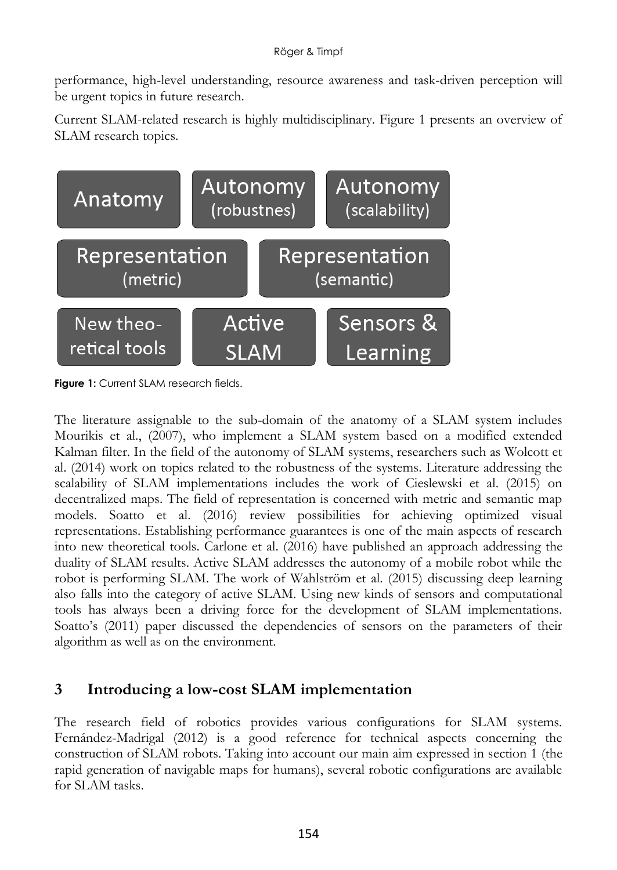performance, high-level understanding, resource awareness and task-driven perception will be urgent topics in future research.

Current SLAM-related research is highly multidisciplinary. Figure 1 presents an overview of SLAM research topics.



**Figure 1:** Current SLAM research fields.

The literature assignable to the sub-domain of the anatomy of a SLAM system includes Mourikis et al., (2007), who implement a SLAM system based on a modified extended Kalman filter. In the field of the autonomy of SLAM systems, researchers such as Wolcott et al. (2014) work on topics related to the robustness of the systems. Literature addressing the scalability of SLAM implementations includes the work of Cieslewski et al. (2015) on decentralized maps. The field of representation is concerned with metric and semantic map models. Soatto et al. (2016) review possibilities for achieving optimized visual representations. Establishing performance guarantees is one of the main aspects of research into new theoretical tools. Carlone et al. (2016) have published an approach addressing the duality of SLAM results. Active SLAM addresses the autonomy of a mobile robot while the robot is performing SLAM. The work of Wahlström et al. (2015) discussing deep learning also falls into the category of active SLAM. Using new kinds of sensors and computational tools has always been a driving force for the development of SLAM implementations. Soatto's (2011) paper discussed the dependencies of sensors on the parameters of their algorithm as well as on the environment.

### **3 Introducing a low-cost SLAM implementation**

The research field of robotics provides various configurations for SLAM systems. Fernández-Madrigal (2012) is a good reference for technical aspects concerning the construction of SLAM robots. Taking into account our main aim expressed in section 1 (the rapid generation of navigable maps for humans), several robotic configurations are available for SLAM tasks.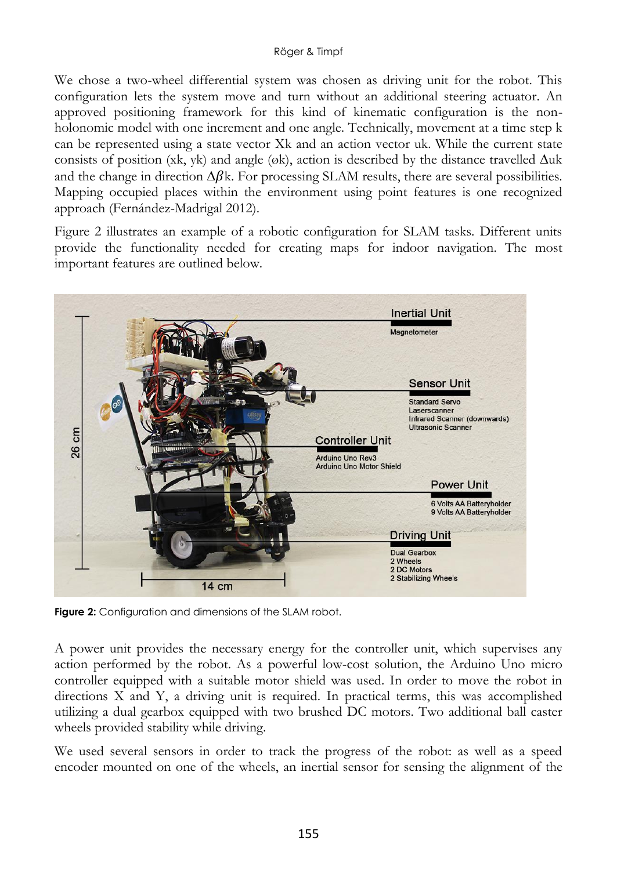We chose a two-wheel differential system was chosen as driving unit for the robot. This configuration lets the system move and turn without an additional steering actuator. An approved positioning framework for this kind of kinematic configuration is the nonholonomic model with one increment and one angle. Technically, movement at a time step k can be represented using a state vector Xk and an action vector uk. While the current state consists of position (xk, yk) and angle (øk), action is described by the distance travelled ∆uk and the change in direction  $\Delta \beta k$ . For processing SLAM results, there are several possibilities. Mapping occupied places within the environment using point features is one recognized approach (Fernández-Madrigal 2012).

Figure 2 illustrates an example of a robotic configuration for SLAM tasks. Different units provide the functionality needed for creating maps for indoor navigation. The most important features are outlined below.



**Figure 2:** Configuration and dimensions of the SLAM robot.

A power unit provides the necessary energy for the controller unit, which supervises any action performed by the robot. As a powerful low-cost solution, the Arduino Uno micro controller equipped with a suitable motor shield was used. In order to move the robot in directions X and Y, a driving unit is required. In practical terms, this was accomplished utilizing a dual gearbox equipped with two brushed DC motors. Two additional ball caster wheels provided stability while driving.

We used several sensors in order to track the progress of the robot: as well as a speed encoder mounted on one of the wheels, an inertial sensor for sensing the alignment of the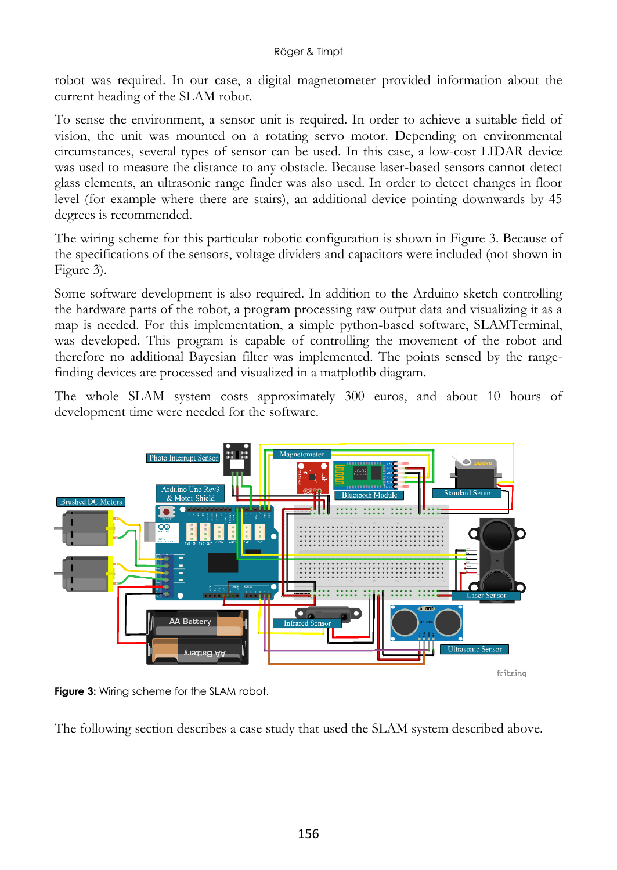robot was required. In our case, a digital magnetometer provided information about the current heading of the SLAM robot.

To sense the environment, a sensor unit is required. In order to achieve a suitable field of vision, the unit was mounted on a rotating servo motor. Depending on environmental circumstances, several types of sensor can be used. In this case, a low-cost LIDAR device was used to measure the distance to any obstacle. Because laser-based sensors cannot detect glass elements, an ultrasonic range finder was also used. In order to detect changes in floor level (for example where there are stairs), an additional device pointing downwards by 45 degrees is recommended.

The wiring scheme for this particular robotic configuration is shown in Figure 3. Because of the specifications of the sensors, voltage dividers and capacitors were included (not shown in Figure 3).

Some software development is also required. In addition to the Arduino sketch controlling the hardware parts of the robot, a program processing raw output data and visualizing it as a map is needed. For this implementation, a simple python-based software, SLAMTerminal, was developed. This program is capable of controlling the movement of the robot and therefore no additional Bayesian filter was implemented. The points sensed by the rangefinding devices are processed and visualized in a matplotlib diagram.

The whole SLAM system costs approximately 300 euros, and about 10 hours of development time were needed for the software.



**Figure 3:** Wiring scheme for the SLAM robot.

The following section describes a case study that used the SLAM system described above.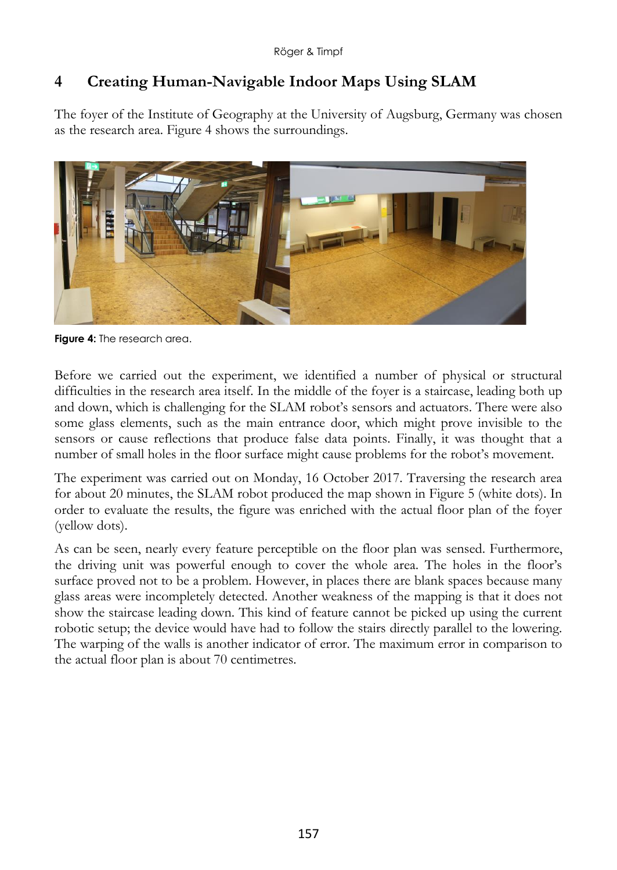# **4 Creating Human-Navigable Indoor Maps Using SLAM**

The foyer of the Institute of Geography at the University of Augsburg, Germany was chosen as the research area. Figure 4 shows the surroundings.



**Figure 4:** The research area.

Before we carried out the experiment, we identified a number of physical or structural difficulties in the research area itself. In the middle of the foyer is a staircase, leading both up and down, which is challenging for the SLAM robot's sensors and actuators. There were also some glass elements, such as the main entrance door, which might prove invisible to the sensors or cause reflections that produce false data points. Finally, it was thought that a number of small holes in the floor surface might cause problems for the robot's movement.

The experiment was carried out on Monday, 16 October 2017. Traversing the research area for about 20 minutes, the SLAM robot produced the map shown in Figure 5 (white dots). In order to evaluate the results, the figure was enriched with the actual floor plan of the foyer (yellow dots).

As can be seen, nearly every feature perceptible on the floor plan was sensed. Furthermore, the driving unit was powerful enough to cover the whole area. The holes in the floor's surface proved not to be a problem. However, in places there are blank spaces because many glass areas were incompletely detected. Another weakness of the mapping is that it does not show the staircase leading down. This kind of feature cannot be picked up using the current robotic setup; the device would have had to follow the stairs directly parallel to the lowering. The warping of the walls is another indicator of error. The maximum error in comparison to the actual floor plan is about 70 centimetres.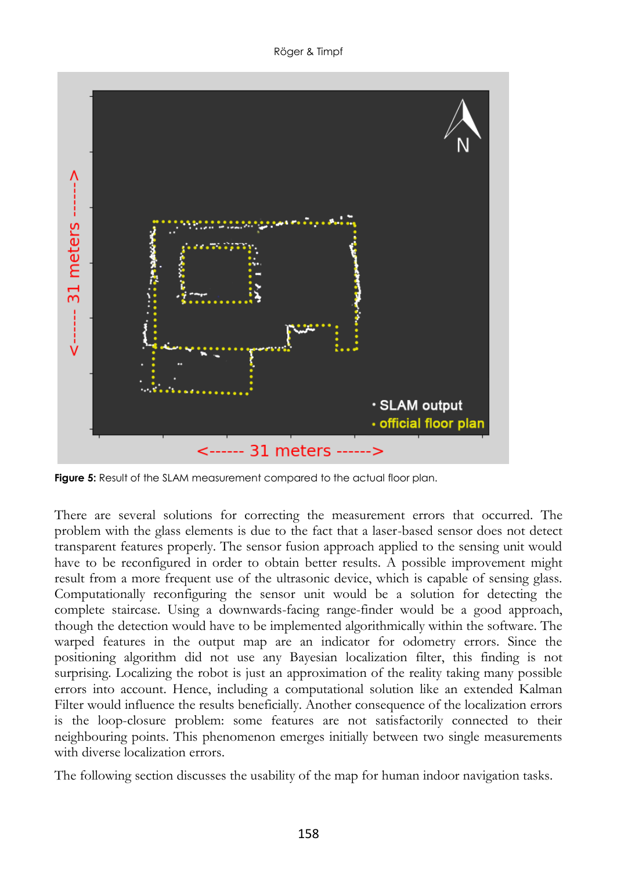Röger & Timpf



**Figure 5:** Result of the SLAM measurement compared to the actual floor plan.

There are several solutions for correcting the measurement errors that occurred. The problem with the glass elements is due to the fact that a laser-based sensor does not detect transparent features properly. The sensor fusion approach applied to the sensing unit would have to be reconfigured in order to obtain better results. A possible improvement might result from a more frequent use of the ultrasonic device, which is capable of sensing glass. Computationally reconfiguring the sensor unit would be a solution for detecting the complete staircase. Using a downwards-facing range-finder would be a good approach, though the detection would have to be implemented algorithmically within the software. The warped features in the output map are an indicator for odometry errors. Since the positioning algorithm did not use any Bayesian localization filter, this finding is not surprising. Localizing the robot is just an approximation of the reality taking many possible errors into account. Hence, including a computational solution like an extended Kalman Filter would influence the results beneficially. Another consequence of the localization errors is the loop-closure problem: some features are not satisfactorily connected to their neighbouring points. This phenomenon emerges initially between two single measurements with diverse localization errors.

The following section discusses the usability of the map for human indoor navigation tasks.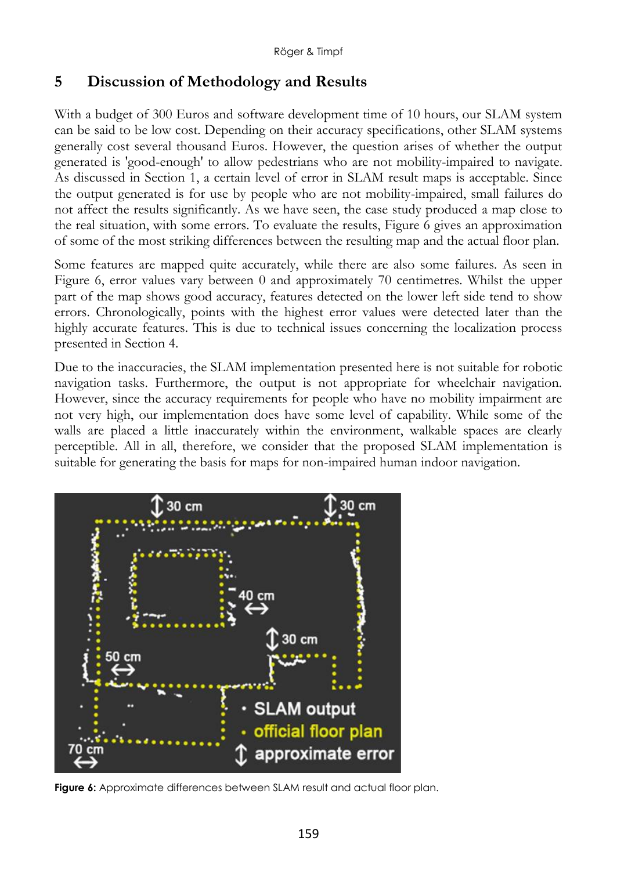### **5 Discussion of Methodology and Results**

With a budget of 300 Euros and software development time of 10 hours, our SLAM system can be said to be low cost. Depending on their accuracy specifications, other SLAM systems generally cost several thousand Euros. However, the question arises of whether the output generated is 'good-enough' to allow pedestrians who are not mobility-impaired to navigate. As discussed in Section 1, a certain level of error in SLAM result maps is acceptable. Since the output generated is for use by people who are not mobility-impaired, small failures do not affect the results significantly. As we have seen, the case study produced a map close to the real situation, with some errors. To evaluate the results, Figure 6 gives an approximation of some of the most striking differences between the resulting map and the actual floor plan.

Some features are mapped quite accurately, while there are also some failures. As seen in Figure 6, error values vary between 0 and approximately 70 centimetres. Whilst the upper part of the map shows good accuracy, features detected on the lower left side tend to show errors. Chronologically, points with the highest error values were detected later than the highly accurate features. This is due to technical issues concerning the localization process presented in Section 4.

Due to the inaccuracies, the SLAM implementation presented here is not suitable for robotic navigation tasks. Furthermore, the output is not appropriate for wheelchair navigation. However, since the accuracy requirements for people who have no mobility impairment are not very high, our implementation does have some level of capability. While some of the walls are placed a little inaccurately within the environment, walkable spaces are clearly perceptible. All in all, therefore, we consider that the proposed SLAM implementation is suitable for generating the basis for maps for non-impaired human indoor navigation.



**Figure 6:** Approximate differences between SLAM result and actual floor plan.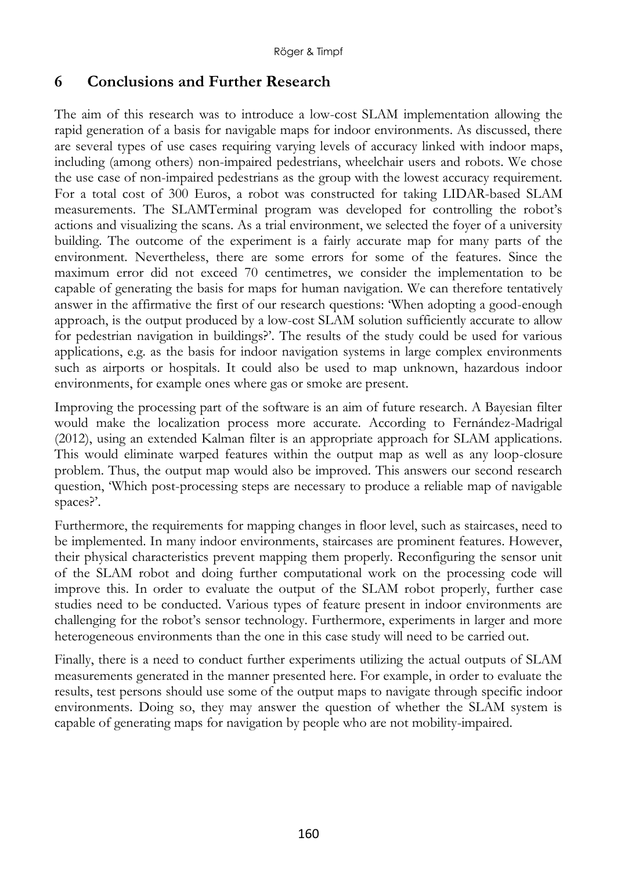### **6 Conclusions and Further Research**

The aim of this research was to introduce a low-cost SLAM implementation allowing the rapid generation of a basis for navigable maps for indoor environments. As discussed, there are several types of use cases requiring varying levels of accuracy linked with indoor maps, including (among others) non-impaired pedestrians, wheelchair users and robots. We chose the use case of non-impaired pedestrians as the group with the lowest accuracy requirement. For a total cost of 300 Euros, a robot was constructed for taking LIDAR-based SLAM measurements. The SLAMTerminal program was developed for controlling the robot's actions and visualizing the scans. As a trial environment, we selected the foyer of a university building. The outcome of the experiment is a fairly accurate map for many parts of the environment. Nevertheless, there are some errors for some of the features. Since the maximum error did not exceed 70 centimetres, we consider the implementation to be capable of generating the basis for maps for human navigation. We can therefore tentatively answer in the affirmative the first of our research questions: 'When adopting a good-enough approach, is the output produced by a low-cost SLAM solution sufficiently accurate to allow for pedestrian navigation in buildings?'. The results of the study could be used for various applications, e.g. as the basis for indoor navigation systems in large complex environments such as airports or hospitals. It could also be used to map unknown, hazardous indoor environments, for example ones where gas or smoke are present.

Improving the processing part of the software is an aim of future research. A Bayesian filter would make the localization process more accurate. According to Fernández-Madrigal (2012), using an extended Kalman filter is an appropriate approach for SLAM applications. This would eliminate warped features within the output map as well as any loop-closure problem. Thus, the output map would also be improved. This answers our second research question, 'Which post-processing steps are necessary to produce a reliable map of navigable spaces?'.

Furthermore, the requirements for mapping changes in floor level, such as staircases, need to be implemented. In many indoor environments, staircases are prominent features. However, their physical characteristics prevent mapping them properly. Reconfiguring the sensor unit of the SLAM robot and doing further computational work on the processing code will improve this. In order to evaluate the output of the SLAM robot properly, further case studies need to be conducted. Various types of feature present in indoor environments are challenging for the robot's sensor technology. Furthermore, experiments in larger and more heterogeneous environments than the one in this case study will need to be carried out.

Finally, there is a need to conduct further experiments utilizing the actual outputs of SLAM measurements generated in the manner presented here. For example, in order to evaluate the results, test persons should use some of the output maps to navigate through specific indoor environments. Doing so, they may answer the question of whether the SLAM system is capable of generating maps for navigation by people who are not mobility-impaired.